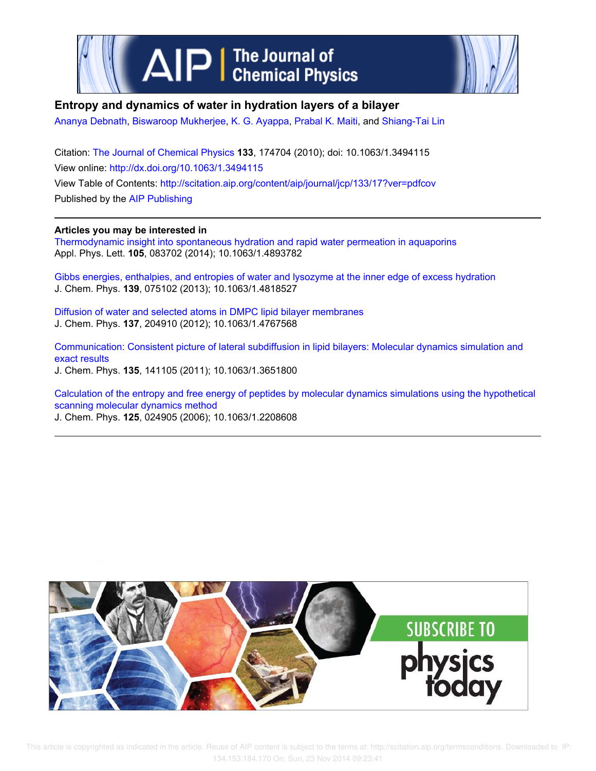

# **Entropy and dynamics of water in hydration layers of a bilayer**

Ananya Debnath, Biswaroop Mukherjee, K. G. Ayappa, Prabal K. Maiti, and Shiang-Tai Lin

Citation: The Journal of Chemical Physics **133**, 174704 (2010); doi: 10.1063/1.3494115 View online: http://dx.doi.org/10.1063/1.3494115 View Table of Contents: http://scitation.aip.org/content/aip/journal/jcp/133/17?ver=pdfcov Published by the AIP Publishing

## **Articles you may be interested in**

Thermodynamic insight into spontaneous hydration and rapid water permeation in aquaporins Appl. Phys. Lett. **105**, 083702 (2014); 10.1063/1.4893782

Gibbs energies, enthalpies, and entropies of water and lysozyme at the inner edge of excess hydration J. Chem. Phys. **139**, 075102 (2013); 10.1063/1.4818527

Diffusion of water and selected atoms in DMPC lipid bilayer membranes J. Chem. Phys. **137**, 204910 (2012); 10.1063/1.4767568

Communication: Consistent picture of lateral subdiffusion in lipid bilayers: Molecular dynamics simulation and exact results J. Chem. Phys. **135**, 141105 (2011); 10.1063/1.3651800

Calculation of the entropy and free energy of peptides by molecular dynamics simulations using the hypothetical scanning molecular dynamics method

J. Chem. Phys. **125**, 024905 (2006); 10.1063/1.2208608

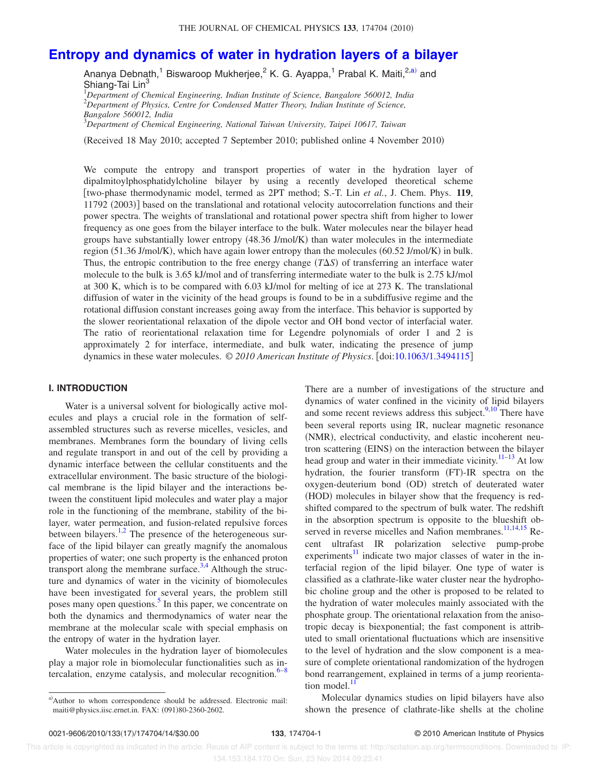# **Entropy and dynamics of water in hydration layers of a bilayer**

Ananya Debnath,<sup>1</sup> Biswaroop Mukherjee,<sup>2</sup> K. G. Ayappa,<sup>1</sup> Prabal K. Maiti,<sup>2,a)</sup> and Shiang-Tai Lin<sup>3</sup>

<sup>1</sup>*Department of Chemical Engineering, Indian Institute of Science, Bangalore 560012, India* <sup>2</sup>*Department of Physics, Centre for Condensed Matter Theory, Indian Institute of Science, Bangalore 560012, India*

<sup>3</sup>*Department of Chemical Engineering, National Taiwan University, Taipei 10617, Taiwan*

-Received 18 May 2010; accepted 7 September 2010; published online 4 November 2010

We compute the entropy and transport properties of water in the hydration layer of dipalmitoylphosphatidylcholine bilayer by using a recently developed theoretical scheme two-phase thermodynamic model, termed as 2PT method; S.-T. Lin *et al.*, J. Chem. Phys. **119**, 11792 (2003)] based on the translational and rotational velocity autocorrelation functions and their power spectra. The weights of translational and rotational power spectra shift from higher to lower frequency as one goes from the bilayer interface to the bulk. Water molecules near the bilayer head groups have substantially lower entropy (48.36 J/mol/K) than water molecules in the intermediate region (51.36 J/mol/K), which have again lower entropy than the molecules (60.52 J/mol/K) in bulk. Thus, the entropic contribution to the free energy change  $(T\Delta S)$  of transferring an interface water molecule to the bulk is 3.65 kJ/mol and of transferring intermediate water to the bulk is 2.75 kJ/mol at 300 K, which is to be compared with 6.03 kJ/mol for melting of ice at 273 K. The translational diffusion of water in the vicinity of the head groups is found to be in a subdiffusive regime and the rotational diffusion constant increases going away from the interface. This behavior is supported by the slower reorientational relaxation of the dipole vector and OH bond vector of interfacial water. The ratio of reorientational relaxation time for Legendre polynomials of order 1 and 2 is approximately 2 for interface, intermediate, and bulk water, indicating the presence of jump dynamics in these water molecules. © *2010 American Institute of Physics*. doi:10.1063/1.3494115

## **I. INTRODUCTION**

Water is a universal solvent for biologically active molecules and plays a crucial role in the formation of selfassembled structures such as reverse micelles, vesicles, and membranes. Membranes form the boundary of living cells and regulate transport in and out of the cell by providing a dynamic interface between the cellular constituents and the extracellular environment. The basic structure of the biological membrane is the lipid bilayer and the interactions between the constituent lipid molecules and water play a major role in the functioning of the membrane, stability of the bilayer, water permeation, and fusion-related repulsive forces between bilayers.<sup>1,2</sup> The presence of the heterogeneous surface of the lipid bilayer can greatly magnify the anomalous properties of water; one such property is the enhanced proton transport along the membrane surface.<sup>3,4</sup> Although the structure and dynamics of water in the vicinity of biomolecules have been investigated for several years, the problem still poses many open questions.<sup>5</sup> In this paper, we concentrate on both the dynamics and thermodynamics of water near the membrane at the molecular scale with special emphasis on the entropy of water in the hydration layer.

Water molecules in the hydration layer of biomolecules play a major role in biomolecular functionalities such as intercalation, enzyme catalysis, and molecular recognition. $6-8$ 

There are a number of investigations of the structure and dynamics of water confined in the vicinity of lipid bilayers and some recent reviews address this subject. $9,10$  There have been several reports using IR, nuclear magnetic resonance (NMR), electrical conductivity, and elastic incoherent neutron scattering (EINS) on the interaction between the bilayer head group and water in their immediate vicinity.<sup>11–13</sup> At low hydration, the fourier transform (FT)-IR spectra on the oxygen-deuterium bond (OD) stretch of deuterated water (HOD) molecules in bilayer show that the frequency is redshifted compared to the spectrum of bulk water. The redshift in the absorption spectrum is opposite to the blueshift observed in reverse micelles and Nafion membranes.<sup>11,14,15</sup> Recent ultrafast IR polarization selective pump-probe experiments $\frac{11}{11}$  indicate two major classes of water in the interfacial region of the lipid bilayer. One type of water is classified as a clathrate-like water cluster near the hydrophobic choline group and the other is proposed to be related to the hydration of water molecules mainly associated with the phosphate group. The orientational relaxation from the anisotropic decay is biexponential; the fast component is attributed to small orientational fluctuations which are insensitive to the level of hydration and the slow component is a measure of complete orientational randomization of the hydrogen bond rearrangement, explained in terms of a jump reorientation model. $<sup>1</sup>$ </sup>

Molecular dynamics studies on lipid bilayers have also shown the presence of clathrate-like shells at the choline

a)Author to whom correspondence should be addressed. Electronic mail: maiti@physics.iisc.ernet.in. FAX: (091)80-2360-2602.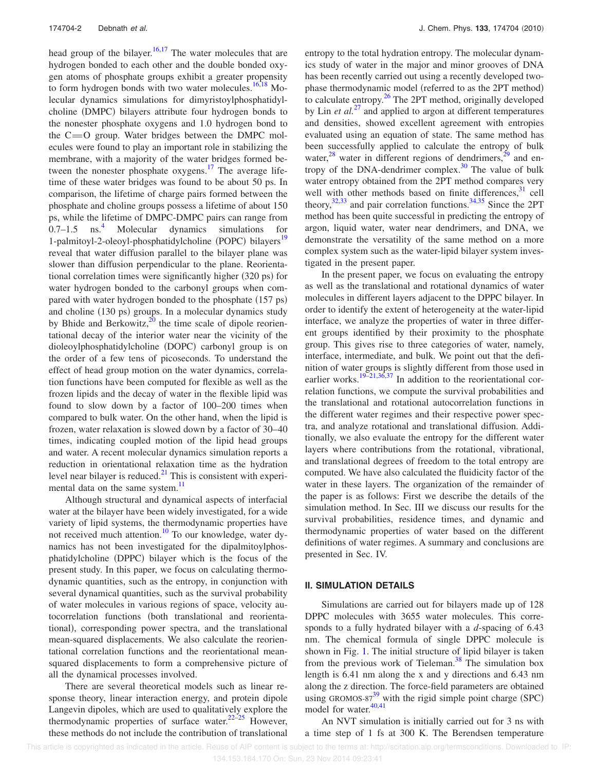head group of the bilayer.<sup>16,17</sup> The water molecules that are hydrogen bonded to each other and the double bonded oxygen atoms of phosphate groups exhibit a greater propensity to form hydrogen bonds with two water molecules. $16,18$  Molecular dynamics simulations for dimyristoylphosphatidylcholine (DMPC) bilayers attribute four hydrogen bonds to the nonester phosphate oxygens and 1.0 hydrogen bond to the  $C = 0$  group. Water bridges between the DMPC molecules were found to play an important role in stabilizing the membrane, with a majority of the water bridges formed between the nonester phosphate oxygens.<sup>17</sup> The average lifetime of these water bridges was found to be about 50 ps. In comparison, the lifetime of charge pairs formed between the phosphate and choline groups possess a lifetime of about 150 ps, while the lifetime of DMPC-DMPC pairs can range from  $0.7-1.5$  ns.<sup>4</sup> Molecular dynamics simulations for 1-palmitoyl-2-oleoyl-phosphatidylcholine (POPC) bilayers<sup>19</sup> reveal that water diffusion parallel to the bilayer plane was slower than diffusion perpendicular to the plane. Reorientational correlation times were significantly higher (320 ps) for water hydrogen bonded to the carbonyl groups when compared with water hydrogen bonded to the phosphate (157 ps) and choline (130 ps) groups. In a molecular dynamics study by Bhide and Berkowitz, $20$  the time scale of dipole reorientational decay of the interior water near the vicinity of the dioleoylphosphatidylcholine (DOPC) carbonyl group is on the order of a few tens of picoseconds. To understand the effect of head group motion on the water dynamics, correlation functions have been computed for flexible as well as the frozen lipids and the decay of water in the flexible lipid was found to slow down by a factor of 100–200 times when compared to bulk water. On the other hand, when the lipid is frozen, water relaxation is slowed down by a factor of 30–40 times, indicating coupled motion of the lipid head groups and water. A recent molecular dynamics simulation reports a reduction in orientational relaxation time as the hydration level near bilayer is reduced. $^{21}$  This is consistent with experimental data on the same system.<sup>11</sup>

Although structural and dynamical aspects of interfacial water at the bilayer have been widely investigated, for a wide variety of lipid systems, the thermodynamic properties have not received much attention.<sup>10</sup> To our knowledge, water dynamics has not been investigated for the dipalmitoylphosphatidylcholine (DPPC) bilayer which is the focus of the present study. In this paper, we focus on calculating thermodynamic quantities, such as the entropy, in conjunction with several dynamical quantities, such as the survival probability of water molecules in various regions of space, velocity autocorrelation functions (both translational and reorientational, corresponding power spectra, and the translational mean-squared displacements. We also calculate the reorientational correlation functions and the reorientational meansquared displacements to form a comprehensive picture of all the dynamical processes involved.

There are several theoretical models such as linear response theory, linear interaction energy, and protein dipole Langevin dipoles, which are used to qualitatively explore the thermodynamic properties of surface water. $22-25$  However, these methods do not include the contribution of translational

entropy to the total hydration entropy. The molecular dynamics study of water in the major and minor grooves of DNA has been recently carried out using a recently developed twophase thermodynamic model (referred to as the 2PT method) to calculate entropy. $^{26}$  The 2PT method, originally developed by Lin *et al.*<sup>27</sup> and applied to argon at different temperatures and densities, showed excellent agreement with entropies evaluated using an equation of state. The same method has been successfully applied to calculate the entropy of bulk water, $28$  water in different regions of dendrimers, $29$  and entropy of the DNA-dendrimer complex.<sup>30</sup> The value of bulk water entropy obtained from the 2PT method compares very well with other methods based on finite differences, $31$  cell theory, $32,33$  and pair correlation functions.  $34,35$  Since the 2PT method has been quite successful in predicting the entropy of argon, liquid water, water near dendrimers, and DNA, we demonstrate the versatility of the same method on a more complex system such as the water-lipid bilayer system investigated in the present paper.

In the present paper, we focus on evaluating the entropy as well as the translational and rotational dynamics of water molecules in different layers adjacent to the DPPC bilayer. In order to identify the extent of heterogeneity at the water-lipid interface, we analyze the properties of water in three different groups identified by their proximity to the phosphate group. This gives rise to three categories of water, namely, interface, intermediate, and bulk. We point out that the definition of water groups is slightly different from those used in earlier works.<sup>19–21,36,37</sup> In addition to the reorientational correlation functions, we compute the survival probabilities and the translational and rotational autocorrelation functions in the different water regimes and their respective power spectra, and analyze rotational and translational diffusion. Additionally, we also evaluate the entropy for the different water layers where contributions from the rotational, vibrational, and translational degrees of freedom to the total entropy are computed. We have also calculated the fluidicity factor of the water in these layers. The organization of the remainder of the paper is as follows: First we describe the details of the simulation method. In Sec. III we discuss our results for the survival probabilities, residence times, and dynamic and thermodynamic properties of water based on the different definitions of water regimes. A summary and conclusions are presented in Sec. IV.

## **II. SIMULATION DETAILS**

Simulations are carried out for bilayers made up of 128 DPPC molecules with 3655 water molecules. This corresponds to a fully hydrated bilayer with a *d*-spacing of 6.43 nm. The chemical formula of single DPPC molecule is shown in Fig. 1. The initial structure of lipid bilayer is taken from the previous work of Tieleman.<sup>38</sup> The simulation box length is 6.41 nm along the x and y directions and 6.43 nm along the z direction. The force-field parameters are obtained using GROMOS- $87^{39}$  with the rigid simple point charge (SPC) model for water.<sup>40,41</sup>

An NVT simulation is initially carried out for 3 ns with a time step of 1 fs at 300 K. The Berendsen temperature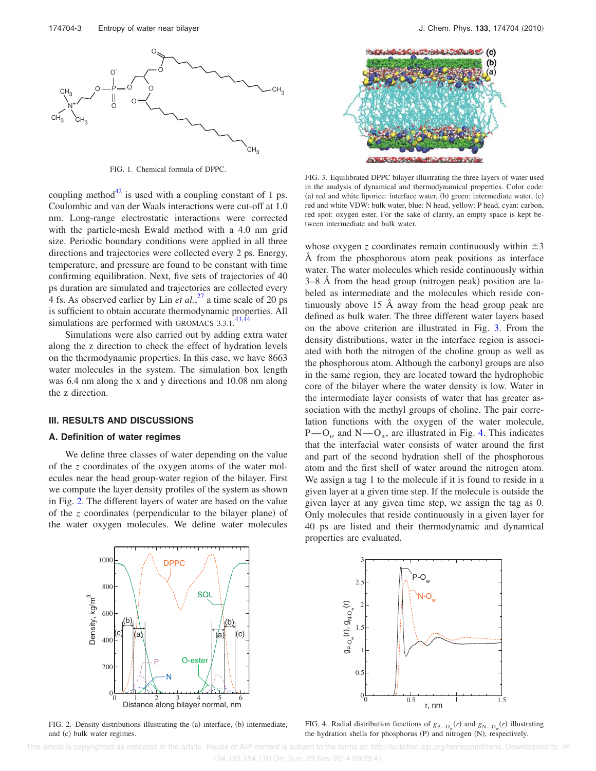

FIG. 1. Chemical formula of DPPC.

coupling method<sup>42</sup> is used with a coupling constant of 1 ps. Coulombic and van der Waals interactions were cut-off at 1.0 nm. Long-range electrostatic interactions were corrected with the particle-mesh Ewald method with a 4.0 nm grid size. Periodic boundary conditions were applied in all three directions and trajectories were collected every 2 ps. Energy, temperature, and pressure are found to be constant with time confirming equilibration. Next, five sets of trajectories of 40 ps duration are simulated and trajectories are collected every 4 fs. As observed earlier by Lin *et al.*,  $^{27}$  a time scale of 20 ps is sufficient to obtain accurate thermodynamic properties. All simulations are performed with GROMACS  $3.3.1$ .  $43.44$ 

Simulations were also carried out by adding extra water along the z direction to check the effect of hydration levels on the thermodynamic properties. In this case, we have 8663 water molecules in the system. The simulation box length was 6.4 nm along the x and y directions and 10.08 nm along the z direction.

#### **III. RESULTS AND DISCUSSIONS**

#### **A. Definition of water regimes**

We define three classes of water depending on the value of the *z* coordinates of the oxygen atoms of the water molecules near the head group-water region of the bilayer. First we compute the layer density profiles of the system as shown in Fig. 2. The different layers of water are based on the value of the *z* coordinates (perpendicular to the bilayer plane) of the water oxygen molecules. We define water molecules



FIG. 2. Density distributions illustrating the (a) interface, (b) intermediate, and (c) bulk water regimes.



FIG. 3. Equilibrated DPPC bilayer illustrating the three layers of water used in the analysis of dynamical and thermodynamical properties. Color code: (a) red and white liporice: interface water, (b) green: intermediate water, (c) red and white VDW: bulk water, blue: N head, yellow: P head, cyan: carbon, red spot: oxygen ester. For the sake of clarity, an empty space is kept between intermediate and bulk water.

whose oxygen *z* coordinates remain continuously within  $\pm 3$ Å from the phosphorous atom peak positions as interface water. The water molecules which reside continuously within 3–8 Å from the head group (nitrogen peak) position are labeled as intermediate and the molecules which reside continuously above 15 Å away from the head group peak are defined as bulk water. The three different water layers based on the above criterion are illustrated in Fig. 3. From the density distributions, water in the interface region is associated with both the nitrogen of the choline group as well as the phosphorous atom. Although the carbonyl groups are also in the same region, they are located toward the hydrophobic core of the bilayer where the water density is low. Water in the intermediate layer consists of water that has greater association with the methyl groups of choline. The pair correlation functions with the oxygen of the water molecule,  $P-O_w$  and  $N-O_w$ , are illustrated in Fig. 4. This indicates that the interfacial water consists of water around the first and part of the second hydration shell of the phosphorous atom and the first shell of water around the nitrogen atom. We assign a tag 1 to the molecule if it is found to reside in a given layer at a given time step. If the molecule is outside the given layer at any given time step, we assign the tag as 0. Only molecules that reside continuously in a given layer for 40 ps are listed and their thermodynamic and dynamical properties are evaluated.



FIG. 4. Radial distribution functions of  $g_{P\rightarrow O_{w}}(r)$  and  $g_{N\rightarrow O_{w}}(r)$  illustrating the hydration shells for phosphorus  $(P)$  and nitrogen  $(N)$ , respectively.

 This article is copyrighted as indicated in the article. Reuse of AIP content is subject to the terms at: http://scitation.aip.org/termsconditions. Downloaded to IP: 134.153.184.170 On: Sun, 23 Nov 2014 09:23:41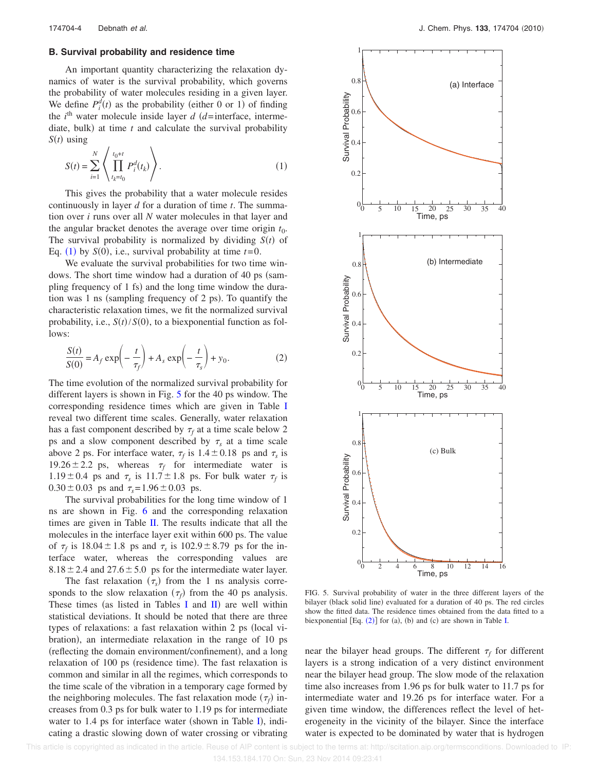## **B. Survival probability and residence time**

An important quantity characterizing the relaxation dynamics of water is the survival probability, which governs the probability of water molecules residing in a given layer. We define  $P_i^d(t)$  as the probability (either 0 or 1) of finding the  $i<sup>th</sup>$  water molecule inside layer  $d$  ( $d$ =interface, intermediate, bulk) at time  $t$  and calculate the survival probability  $S(t)$  using

$$
S(t) = \sum_{i=1}^{N} \left\langle \prod_{t_k = t_0}^{t_0 + t} P_i^d(t_k) \right\rangle.
$$
 (1)

This gives the probability that a water molecule resides continuously in layer *d* for a duration of time *t*. The summation over *i* runs over all *N* water molecules in that layer and the angular bracket denotes the average over time origin  $t_0$ . The survival probability is normalized by dividing  $S(t)$  of Eq. (1) by  $S(0)$ , i.e., survival probability at time  $t=0$ .

We evaluate the survival probabilities for two time windows. The short time window had a duration of 40 ps (sampling frequency of 1 fs) and the long time window the duration was 1 ns (sampling frequency of 2 ps). To quantify the characteristic relaxation times, we fit the normalized survival probability, i.e.,  $S(t)/S(0)$ , to a biexponential function as follows:

$$
\frac{S(t)}{S(0)} = A_f \exp\left(-\frac{t}{\tau_f}\right) + A_s \exp\left(-\frac{t}{\tau_s}\right) + y_0.
$$
 (2)

The time evolution of the normalized survival probability for different layers is shown in Fig. 5 for the 40 ps window. The corresponding residence times which are given in Table I reveal two different time scales. Generally, water relaxation has a fast component described by  $\tau_f$  at a time scale below 2 ps and a slow component described by  $\tau_s$  at a time scale above 2 ps. For interface water,  $\tau_f$  is  $1.4 \pm 0.18$  ps and  $\tau_s$  is 19.26  $\pm$  2.2 ps, whereas  $\tau_f$  for intermediate water is  $1.19 \pm 0.4$  ps and  $\tau_s$  is  $11.7 \pm 1.8$  ps. For bulk water  $\tau_f$  is  $0.30 \pm 0.03$  ps and  $\tau_s = 1.96 \pm 0.03$  ps.

The survival probabilities for the long time window of 1 ns are shown in Fig. 6 and the corresponding relaxation times are given in Table II. The results indicate that all the molecules in the interface layer exit within 600 ps. The value of  $\tau_f$  is 18.04  $\pm$  1.8 ps and  $\tau_s$  is 102.9  $\pm$  8.79 ps for the interface water, whereas the corresponding values are  $8.18 \pm 2.4$  and  $27.6 \pm 5.0$  ps for the intermediate water layer.

The fast relaxation  $(\tau_s)$  from the 1 ns analysis corresponds to the slow relaxation  $(\tau_f)$  from the 40 ps analysis. These times (as listed in Tables I and  $\text{II}$ ) are well within statistical deviations. It should be noted that there are three types of relaxations: a fast relaxation within 2 ps (local vibration, an intermediate relaxation in the range of 10 ps (reflecting the domain environment/confinement), and a long relaxation of 100 ps (residence time). The fast relaxation is common and similar in all the regimes, which corresponds to the time scale of the vibration in a temporary cage formed by the neighboring molecules. The fast relaxation mode  $(\tau_f)$  increases from 0.3 ps for bulk water to 1.19 ps for intermediate water to 1.4 ps for interface water (shown in Table I), indicating a drastic slowing down of water crossing or vibrating



FIG. 5. Survival probability of water in the three different layers of the bilayer (black solid line) evaluated for a duration of 40 ps. The red circles show the fitted data. The residence times obtained from the data fitted to a biexponential  $[Eq. (2)]$  for (a), (b) and (c) are shown in Table I.

near the bilayer head groups. The different  $\tau_f$  for different layers is a strong indication of a very distinct environment near the bilayer head group. The slow mode of the relaxation time also increases from 1.96 ps for bulk water to 11.7 ps for intermediate water and 19.26 ps for interface water. For a given time window, the differences reflect the level of heterogeneity in the vicinity of the bilayer. Since the interface water is expected to be dominated by water that is hydrogen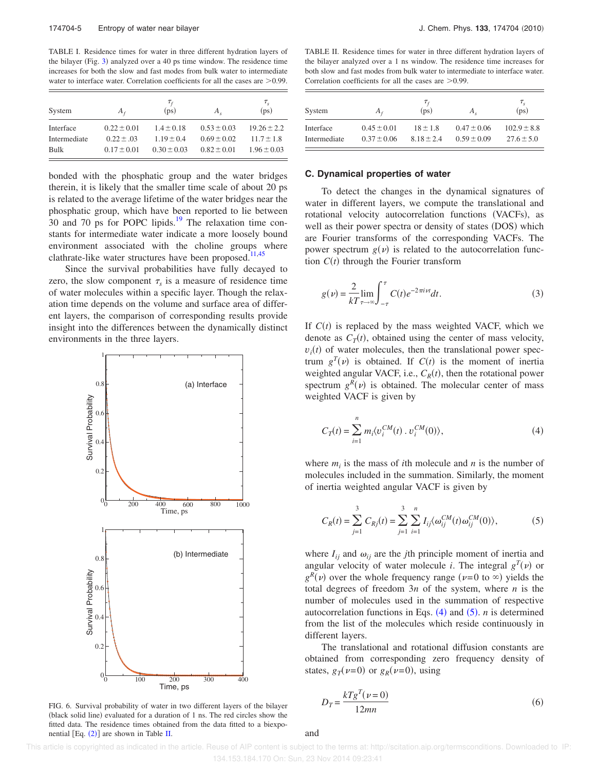TABLE I. Residence times for water in three different hydration layers of the bilayer (Fig. 3) analyzed over a 40 ps time window. The residence time increases for both the slow and fast modes from bulk water to intermediate water to interface water. Correlation coefficients for all the cases are  $\geq 0.99$ .

|              |                 | $\tau_{\scriptscriptstyle{f}}$ |                 | $\tau_{s}$      |
|--------------|-----------------|--------------------------------|-----------------|-----------------|
| System       | $A_f$           | (p <sub>S</sub> )              | $A_{\rm c}$     | (ps)            |
| Interface    | $0.22 \pm 0.01$ | $1.4 \pm 0.18$                 | $0.53 \pm 0.03$ | $19.26 \pm 2.2$ |
| Intermediate | $0.22 \pm .03$  | $1.19 \pm 0.4$                 | $0.69 \pm 0.02$ | $11.7 \pm 1.8$  |
| Bulk         | $0.17 \pm 0.01$ | $0.30 \pm 0.03$                | $0.82 \pm 0.01$ | $1.96 \pm 0.03$ |

bonded with the phosphatic group and the water bridges therein, it is likely that the smaller time scale of about 20 ps is related to the average lifetime of the water bridges near the phosphatic group, which have been reported to lie between  $30$  and  $70$  ps for POPC lipids.<sup>19</sup> The relaxation time constants for intermediate water indicate a more loosely bound environment associated with the choline groups where clathrate-like water structures have been proposed.<sup>11,45</sup>

Since the survival probabilities have fully decayed to zero, the slow component  $\tau_s$  is a measure of residence time of water molecules within a specific layer. Though the relaxation time depends on the volume and surface area of different layers, the comparison of corresponding results provide insight into the differences between the dynamically distinct environments in the three layers.



FIG. 6. Survival probability of water in two different layers of the bilayer (black solid line) evaluated for a duration of 1 ns. The red circles show the fitted data. The residence times obtained from the data fitted to a biexponential  $[Eq. (2)]$  are shown in Table II.

TABLE II. Residence times for water in three different hydration layers of the bilayer analyzed over a 1 ns window. The residence time increases for both slow and fast modes from bulk water to intermediate to interface water. Correlation coefficients for all the cases are  $\geq 0.99$ .

| System       | $A_f$           | $\tau_{\scriptscriptstyle{f}}$<br>(p <sub>S</sub> ) | $A_{s}$         | $\tau_{s}$<br>(ps) |
|--------------|-----------------|-----------------------------------------------------|-----------------|--------------------|
| Interface    | $0.45 \pm 0.01$ | $18 \pm 1.8$                                        | $0.47 \pm 0.06$ | $102.9 \pm 8.8$    |
| Intermediate | $0.37 \pm 0.06$ | $8.18 \pm 2.4$                                      | $0.59 \pm 0.09$ | $27.6 \pm 5.0$     |

#### **C. Dynamical properties of water**

To detect the changes in the dynamical signatures of water in different layers, we compute the translational and rotational velocity autocorrelation functions (VACFs), as well as their power spectra or density of states (DOS) which are Fourier transforms of the corresponding VACFs. The power spectrum  $g(v)$  is related to the autocorrelation function  $C(t)$  through the Fourier transform

$$
g(\nu) = \frac{2}{kT} \lim_{\tau \to \infty} \int_{-\tau}^{\tau} C(t) e^{-2\pi i \nu t} dt.
$$
 (3)

If  $C(t)$  is replaced by the mass weighted VACF, which we denote as  $C_T(t)$ , obtained using the center of mass velocity,  $v_i(t)$  of water molecules, then the translational power spectrum  $g^T(v)$  is obtained. If  $C(t)$  is the moment of inertia weighted angular VACF, i.e.,  $C_R(t)$ , then the rotational power spectrum  $g^R(\nu)$  is obtained. The molecular center of mass weighted VACF is given by

$$
C_T(t) = \sum_{i=1}^{n} m_i \langle v_i^{CM}(t) \cdot v_i^{CM}(0) \rangle,
$$
 (4)

where  $m_i$  is the mass of *i*th molecule and *n* is the number of molecules included in the summation. Similarly, the moment of inertia weighted angular VACF is given by

$$
C_R(t) = \sum_{j=1}^{3} C_{Rj}(t) = \sum_{j=1}^{3} \sum_{i=1}^{n} I_{ij} \langle \omega_{ij}^{CM}(t) \omega_{ij}^{CM}(0) \rangle, \tag{5}
$$

where  $I_{ij}$  and  $\omega_{ij}$  are the *j*th principle moment of inertia and angular velocity of water molecule *i*. The integral  $g^T(v)$  or  $g^R(\nu)$  over the whole frequency range ( $\nu$ =0 to  $\infty$ ) yields the total degrees of freedom 3*n* of the system, where *n* is the number of molecules used in the summation of respective autocorrelation functions in Eqs.  $(4)$  and  $(5)$ . *n* is determined from the list of the molecules which reside continuously in different layers.

The translational and rotational diffusion constants are obtained from corresponding zero frequency density of states,  $g_T(\nu=0)$  or  $g_R(\nu=0)$ , using

$$
D_T = \frac{kTg^T(\nu = 0)}{12mn} \tag{6}
$$

and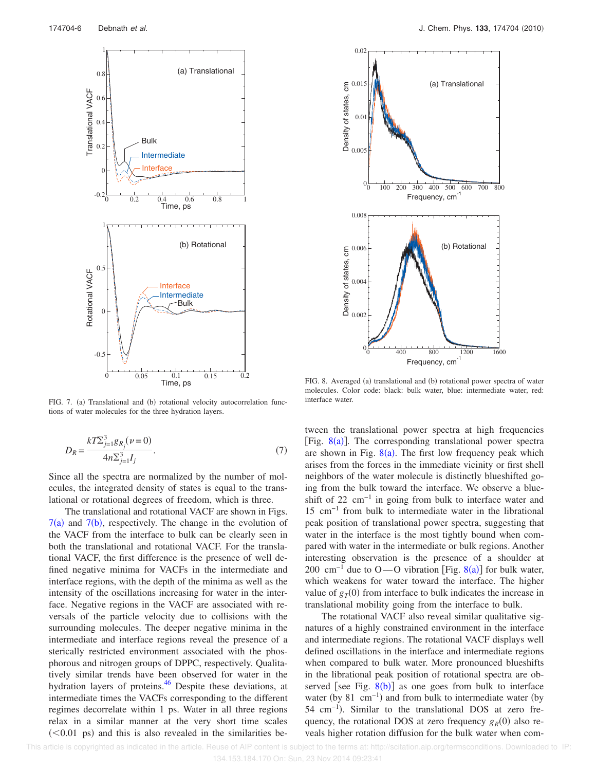

FIG. 7. (a) Translational and (b) rotational velocity autocorrelation functions of water molecules for the three hydration layers.

$$
D_R = \frac{kT \sum_{j=1}^3 g_{R_j}(\nu = 0)}{4n \sum_{j=1}^3 I_j}.
$$
 (7)

Since all the spectra are normalized by the number of molecules, the integrated density of states is equal to the translational or rotational degrees of freedom, which is three.

The translational and rotational VACF are shown in Figs.  $7(a)$  and  $7(b)$ , respectively. The change in the evolution of the VACF from the interface to bulk can be clearly seen in both the translational and rotational VACF. For the translational VACF, the first difference is the presence of well defined negative minima for VACFs in the intermediate and interface regions, with the depth of the minima as well as the intensity of the oscillations increasing for water in the interface. Negative regions in the VACF are associated with reversals of the particle velocity due to collisions with the surrounding molecules. The deeper negative minima in the intermediate and interface regions reveal the presence of a sterically restricted environment associated with the phosphorous and nitrogen groups of DPPC, respectively. Qualitatively similar trends have been observed for water in the hydration layers of proteins.<sup>46</sup> Despite these deviations, at intermediate times the VACFs corresponding to the different regimes decorrelate within 1 ps. Water in all three regions relax in a similar manner at the very short time scales  $(< 0.01$  ps) and this is also revealed in the similarities be-



FIG. 8. Averaged (a) translational and (b) rotational power spectra of water molecules. Color code: black: bulk water, blue: intermediate water, red: interface water.

tween the translational power spectra at high frequencies [Fig.  $8(a)$ ]. The corresponding translational power spectra are shown in Fig.  $8(a)$ . The first low frequency peak which arises from the forces in the immediate vicinity or first shell neighbors of the water molecule is distinctly blueshifted going from the bulk toward the interface. We observe a blueshift of 22 cm−1 in going from bulk to interface water and 15 cm−1 from bulk to intermediate water in the librational peak position of translational power spectra, suggesting that water in the interface is the most tightly bound when compared with water in the intermediate or bulk regions. Another interesting observation is the presence of a shoulder at 200 cm<sup>-1</sup> due to O—O vibration [Fig. 8(a)] for bulk water, which weakens for water toward the interface. The higher value of  $g_T(0)$  from interface to bulk indicates the increase in translational mobility going from the interface to bulk.

The rotational VACF also reveal similar qualitative signatures of a highly constrained environment in the interface and intermediate regions. The rotational VACF displays well defined oscillations in the interface and intermediate regions when compared to bulk water. More pronounced blueshifts in the librational peak position of rotational spectra are observed [see Fig.  $8(b)$ ] as one goes from bulk to interface water (by 81 cm<sup>-1</sup>) and from bulk to intermediate water (by 54 cm<sup>-1</sup>). Similar to the translational DOS at zero frequency, the rotational DOS at zero frequency  $g_R(0)$  also reveals higher rotation diffusion for the bulk water when com-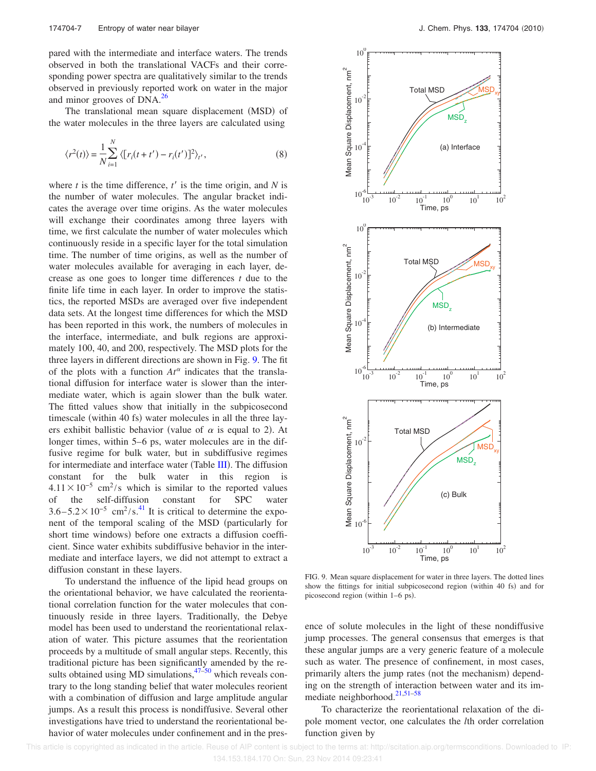pared with the intermediate and interface waters. The trends observed in both the translational VACFs and their corresponding power spectra are qualitatively similar to the trends observed in previously reported work on water in the major and minor grooves of  $DNA.<sup>26</sup>$ 

The translational mean square displacement (MSD) of the water molecules in the three layers are calculated using

$$
\langle r^2(t) \rangle = \frac{1}{N} \sum_{i=1}^N \langle [r_i(t+t') - r_i(t')]^2 \rangle_{t'}, \tag{8}
$$

where  $t$  is the time difference,  $t'$  is the time origin, and  $N$  is the number of water molecules. The angular bracket indicates the average over time origins. As the water molecules will exchange their coordinates among three layers with time, we first calculate the number of water molecules which continuously reside in a specific layer for the total simulation time. The number of time origins, as well as the number of water molecules available for averaging in each layer, decrease as one goes to longer time differences *t* due to the finite life time in each layer. In order to improve the statistics, the reported MSDs are averaged over five independent data sets. At the longest time differences for which the MSD has been reported in this work, the numbers of molecules in the interface, intermediate, and bulk regions are approximately 100, 40, and 200, respectively. The MSD plots for the three layers in different directions are shown in Fig. 9. The fit of the plots with a function  $At^{\alpha}$  indicates that the translational diffusion for interface water is slower than the intermediate water, which is again slower than the bulk water. The fitted values show that initially in the subpicosecond timescale (within 40 fs) water molecules in all the three layers exhibit ballistic behavior (value of  $\alpha$  is equal to 2). At longer times, within 5–6 ps, water molecules are in the diffusive regime for bulk water, but in subdiffusive regimes for intermediate and interface water (Table III). The diffusion constant for the bulk water in this region is  $4.11 \times 10^{-5}$  cm<sup>2</sup>/s which is similar to the reported values of the self-diffusion constant for SPC water  $3.6 - 5.2 \times 10^{-5}$  cm<sup>2</sup>/s.<sup>41</sup> It is critical to determine the exponent of the temporal scaling of the MSD (particularly for short time windows) before one extracts a diffusion coefficient. Since water exhibits subdiffusive behavior in the intermediate and interface layers, we did not attempt to extract a diffusion constant in these layers.

To understand the influence of the lipid head groups on the orientational behavior, we have calculated the reorientational correlation function for the water molecules that continuously reside in three layers. Traditionally, the Debye model has been used to understand the reorientational relaxation of water. This picture assumes that the reorientation proceeds by a multitude of small angular steps. Recently, this traditional picture has been significantly amended by the results obtained using MD simulations,  $47-50$  which reveals contrary to the long standing belief that water molecules reorient with a combination of diffusion and large amplitude angular jumps. As a result this process is nondiffusive. Several other investigations have tried to understand the reorientational behavior of water molecules under confinement and in the pres-



FIG. 9. Mean square displacement for water in three layers. The dotted lines show the fittings for initial subpicosecond region (within 40 fs) and for picosecond region (within  $1-6$  ps).

ence of solute molecules in the light of these nondiffusive jump processes. The general consensus that emerges is that these angular jumps are a very generic feature of a molecule such as water. The presence of confinement, in most cases, primarily alters the jump rates (not the mechanism) depending on the strength of interaction between water and its immediate neighborhood.<sup>21,51-58</sup>

To characterize the reorientational relaxation of the dipole moment vector, one calculates the *l*th order correlation function given by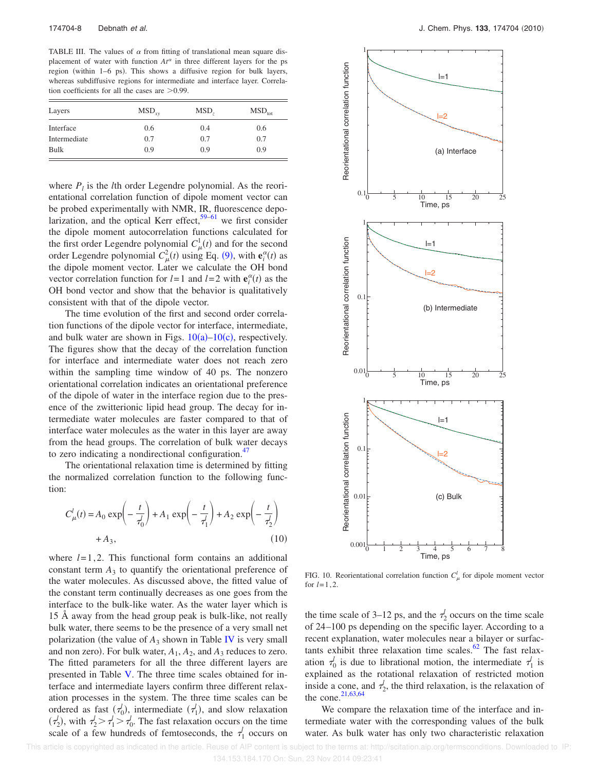TABLE III. The values of  $\alpha$  from fitting of translational mean square displacement of water with function  $At^{\alpha}$  in three different layers for the ps region (within 1–6 ps). This shows a diffusive region for bulk layers, whereas subdiffusive regions for intermediate and interface layer. Correlation coefficients for all the cases are  $>0.99$ .

| Layers       | $\text{MSD}_{\text{rv}}$ | MSD, | $\rm MSD_{tot}$ |
|--------------|--------------------------|------|-----------------|
| Interface    | 0.6                      | 0.4  | 0.6             |
| Intermediate | 0.7                      | 0.7  | 0.7             |
| Bulk         | 0.9                      | 0.9  | 0.9             |

where  $P_l$  is the *l*th order Legendre polynomial. As the reorientational correlation function of dipole moment vector can be probed experimentally with NMR, IR, fluorescence depolarization, and the optical Kerr effect,  $59-61$  we first consider the dipole moment autocorrelation functions calculated for the first order Legendre polynomial  $C^1_\mu(t)$  and for the second order Legendre polynomial  $C_{\mu}^2(t)$  using Eq. (9), with  $\mathbf{e}_i^{\alpha}(t)$  as the dipole moment vector. Later we calculate the OH bond vector correlation function for  $l = 1$  and  $l = 2$  with  $\mathbf{e}_i^{\alpha}(t)$  as the OH bond vector and show that the behavior is qualitatively consistent with that of the dipole vector.

The time evolution of the first and second order correlation functions of the dipole vector for interface, intermediate, and bulk water are shown in Figs.  $10(a)-10(c)$ , respectively. The figures show that the decay of the correlation function for interface and intermediate water does not reach zero within the sampling time window of 40 ps. The nonzero orientational correlation indicates an orientational preference of the dipole of water in the interface region due to the presence of the zwitterionic lipid head group. The decay for intermediate water molecules are faster compared to that of interface water molecules as the water in this layer are away from the head groups. The correlation of bulk water decays to zero indicating a nondirectional configuration. $47$ 

The orientational relaxation time is determined by fitting the normalized correlation function to the following function:

$$
C_{\mu}^{l}(t) = A_0 \exp\left(-\frac{t}{\tau_0^{l}}\right) + A_1 \exp\left(-\frac{t}{\tau_1^{l}}\right) + A_2 \exp\left(-\frac{t}{\tau_2^{l}}\right)
$$
  
+  $A_3,$  (10)

where  $l=1,2$ . This functional form contains an additional constant term  $A_3$  to quantify the orientational preference of the water molecules. As discussed above, the fitted value of the constant term continually decreases as one goes from the interface to the bulk-like water. As the water layer which is 15 Å away from the head group peak is bulk-like, not really bulk water, there seems to be the presence of a very small net polarization (the value of  $A_3$  shown in Table IV is very small and non zero). For bulk water,  $A_1$ ,  $A_2$ , and  $A_3$  reduces to zero. The fitted parameters for all the three different layers are presented in Table V. The three time scales obtained for interface and intermediate layers confirm three different relaxation processes in the system. The three time scales can be ordered as fast  $(\tau_0)$ , intermediate  $(\tau_1)$ , and slow relaxation  $(\tau_2^l)$ , with  $\tau_2^l > \tau_1^l > \tau_0^l$ . The fast relaxation occurs on the time scale of a few hundreds of femtoseconds, the  $\tau_1^j$  occurs on



FIG. 10. Reorientational correlation function  $C^l_\mu$  for dipole moment vector for *l*=1,2.

the time scale of 3–12 ps, and the  $\tau_2^j$  occurs on the time scale of 24–100 ps depending on the specific layer. According to a recent explanation, water molecules near a bilayer or surfactants exhibit three relaxation time scales. $62$  The fast relaxation  $\tau_0^j$  is due to librational motion, the intermediate  $\tau_1^j$  is explained as the rotational relaxation of restricted motion inside a cone, and  $\tau_2^j$ , the third relaxation, is the relaxation of the cone.  $21,63,64$ 

We compare the relaxation time of the interface and intermediate water with the corresponding values of the bulk water. As bulk water has only two characteristic relaxation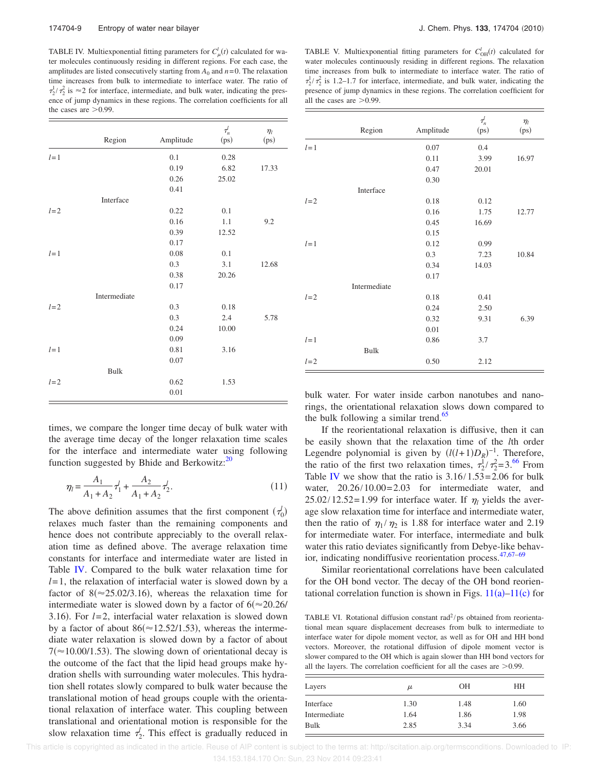TABLE IV. Multiexponential fitting parameters for  $C^l_{\mu}(t)$  calculated for water molecules continuously residing in different regions. For each case, the amplitudes are listed consecutively starting from  $A_0$  and  $n=0$ . The relaxation time increases from bulk to intermediate to interface water. The ratio of  $\tau_2^1/\tau_2^2$  is  $\approx$  2 for interface, intermediate, and bulk water, indicating the presence of jump dynamics in these regions. The correlation coefficients for all the cases are  $>0.99$ .

|       | Region       | Amplitude | $\tau_n^l$<br>(ps) | $\eta_l$<br>(ps) |
|-------|--------------|-----------|--------------------|------------------|
| $l=1$ |              | 0.1       | 0.28               |                  |
|       |              | 0.19      | 6.82               | 17.33            |
|       |              | 0.26      | 25.02              |                  |
|       |              | 0.41      |                    |                  |
|       | Interface    |           |                    |                  |
| $l=2$ |              | 0.22      | 0.1                |                  |
|       |              | 0.16      | 1.1                | 9.2              |
|       |              | 0.39      | 12.52              |                  |
|       |              | 0.17      |                    |                  |
| $l=1$ |              | 0.08      | 0.1                |                  |
|       |              | 0.3       | 3.1                | 12.68            |
|       |              | 0.38      | 20.26              |                  |
|       |              | 0.17      |                    |                  |
|       | Intermediate |           |                    |                  |
| $l=2$ |              | 0.3       | 0.18               |                  |
|       |              | 0.3       | 2.4                | 5.78             |
|       |              | 0.24      | 10.00              |                  |
|       |              | 0.09      |                    |                  |
| $l=1$ |              | 0.81      | 3.16               |                  |
|       |              | 0.07      |                    |                  |
|       | <b>Bulk</b>  |           |                    |                  |
| $l=2$ |              | 0.62      | 1.53               |                  |
|       |              | 0.01      |                    |                  |

TABLE V. Multiexponential fitting parameters for  $C_{OH}^{l}(t)$  calculated for water molecules continuously residing in different regions. The relaxation time increases from bulk to intermediate to interface water. The ratio of  $\tau_2^1/\tau_2^2$  is 1.2–1.7 for interface, intermediate, and bulk water, indicating the presence of jump dynamics in these regions. The correlation coefficient for all the cases are  $>0.99$ .

|       | Region       | Amplitude | $\tau_n^l$<br>(ps) | $\eta_l$<br>(ps) |
|-------|--------------|-----------|--------------------|------------------|
| $l=1$ |              | 0.07      | 0.4                |                  |
|       |              | 0.11      | 3.99               | 16.97            |
|       |              | 0.47      | 20.01              |                  |
|       |              | 0.30      |                    |                  |
|       | Interface    |           |                    |                  |
| $l=2$ |              | 0.18      | 0.12               |                  |
|       |              | 0.16      | 1.75               | 12.77            |
|       |              | 0.45      | 16.69              |                  |
|       |              | 0.15      |                    |                  |
| $l=1$ |              | 0.12      | 0.99               |                  |
|       |              | 0.3       | 7.23               | 10.84            |
|       |              | 0.34      | 14.03              |                  |
|       |              | 0.17      |                    |                  |
|       | Intermediate |           |                    |                  |
| $l=2$ |              | 0.18      | 0.41               |                  |
|       |              | 0.24      | 2.50               |                  |
|       |              | 0.32      | 9.31               | 6.39             |
|       |              | 0.01      |                    |                  |
| $l=1$ |              | 0.86      | 3.7                |                  |
|       | <b>Bulk</b>  |           |                    |                  |
| $l=2$ |              | 0.50      | 2.12               |                  |

times, we compare the longer time decay of bulk water with the average time decay of the longer relaxation time scales for the interface and intermediate water using following function suggested by Bhide and Berkowitz: $20$ 

$$
\eta_l = \frac{A_1}{A_1 + A_2} \tau_1^l + \frac{A_2}{A_1 + A_2} \tau_2^l. \tag{11}
$$

The above definition assumes that the first component  $(\tau_0^j)$ relaxes much faster than the remaining components and hence does not contribute appreciably to the overall relaxation time as defined above. The average relaxation time constants for interface and intermediate water are listed in Table IV. Compared to the bulk water relaxation time for *l*= 1, the relaxation of interfacial water is slowed down by a factor of  $8 \approx 25.02/3.16$ , whereas the relaxation time for intermediate water is slowed down by a factor of  $6 \approx 20.26$ / 3.16. For *l*= 2, interfacial water relaxation is slowed down by a factor of about  $86 (\approx 12.52/1.53)$ , whereas the intermediate water relaxation is slowed down by a factor of about  $7 \approx 10.00/1.53$ . The slowing down of orientational decay is the outcome of the fact that the lipid head groups make hydration shells with surrounding water molecules. This hydration shell rotates slowly compared to bulk water because the translational motion of head groups couple with the orientational relaxation of interface water. This coupling between translational and orientational motion is responsible for the slow relaxation time  $\tau_2^l$ . This effect is gradually reduced in

bulk water. For water inside carbon nanotubes and nanorings, the orientational relaxation slows down compared to the bulk following a similar trend.<sup>65</sup>

If the reorientational relaxation is diffusive, then it can be easily shown that the relaxation time of the *l*th order Legendre polynomial is given by  $(l(l+1)D_R)^{-1}$ . Therefore, the ratio of the first two relaxation times,  $\tau_2^1/\tau_2^2 = 3.66$  From Table IV we show that the ratio is  $3.16/1.53=2.06$  for bulk water,  $20.26/10.00 = 2.03$  for intermediate water, and  $25.02/12.52=1.99$  for interface water. If  $\eta_l$  yields the average slow relaxation time for interface and intermediate water, then the ratio of  $\eta_1/\eta_2$  is 1.88 for interface water and 2.19 for intermediate water. For interface, intermediate and bulk water this ratio deviates significantly from Debye-like behavior, indicating nondiffusive reorientation process. $47,67-69$ 

Similar reorientational correlations have been calculated for the OH bond vector. The decay of the OH bond reorientational correlation function is shown in Figs.  $11(a) - 11(c)$  for

TABLE VI. Rotational diffusion constant  $rad^2/ps$  obtained from reorientational mean square displacement decreases from bulk to intermediate to interface water for dipole moment vector, as well as for OH and HH bond vectors. Moreover, the rotational diffusion of dipole moment vector is slower compared to the OH which is again slower than HH bond vectors for all the layers. The correlation coefficient for all the cases are  $>0.99$ .

| Layers       | $\mu$ | <b>OH</b> | HН   |
|--------------|-------|-----------|------|
| Interface    | 1.30  | 1.48      | 1.60 |
| Intermediate | 1.64  | 1.86      | 1.98 |
| Bulk         | 2.85  | 3.34      | 3.66 |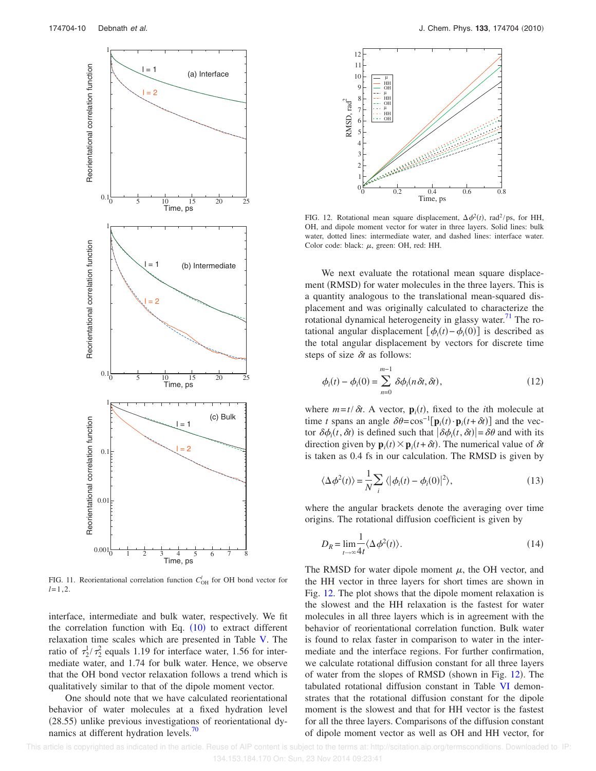

FIG. 11. Reorientational correlation function  $C_{OH}^{l}$  for OH bond vector for  $l=1,2.$ 

interface, intermediate and bulk water, respectively. We fit the correlation function with Eq.  $(10)$  to extract different relaxation time scales which are presented in Table V. The ratio of  $\tau_2^1/\tau_2^2$  equals 1.19 for interface water, 1.56 for intermediate water, and 1.74 for bulk water. Hence, we observe that the OH bond vector relaxation follows a trend which is qualitatively similar to that of the dipole moment vector.

One should note that we have calculated reorientational behavior of water molecules at a fixed hydration level -28.55 unlike previous investigations of reorientational dynamics at different hydration levels. $\frac{70}{6}$ 



FIG. 12. Rotational mean square displacement,  $\Delta \phi^2(t)$ , rad<sup>2</sup>/ps, for HH, OH, and dipole moment vector for water in three layers. Solid lines: bulk water, dotted lines: intermediate water, and dashed lines: interface water. Color code: black:  $\mu$ , green: OH, red: HH.

We next evaluate the rotational mean square displacement (RMSD) for water molecules in the three layers. This is a quantity analogous to the translational mean-squared displacement and was originally calculated to characterize the rotational dynamical heterogeneity in glassy water. $\frac{71}{1}$  The rotational angular displacement  $[\phi_i(t) - \phi_i(0)]$  is described as the total angular displacement by vectors for discrete time steps of size  $\delta t$  as follows:

$$
\phi_i(t) - \phi_i(0) = \sum_{n=0}^{m-1} \delta \phi_i(n \delta t, \delta t),
$$
\n(12)

where  $m=t/\delta t$ . A vector,  $\mathbf{p}_i(t)$ , fixed to the *i*th molecule at time *t* spans an angle  $\delta\theta = \cos^{-1}[\mathbf{p}_i(t) \cdot \mathbf{p}_i(t+\delta t)]$  and the vector  $\delta \phi_i(t, \delta t)$  is defined such that  $|\delta \phi_i(t, \delta t)| = \delta \theta$  and with its direction given by  $\mathbf{p}_i(t) \times \mathbf{p}_i(t + \delta t)$ . The numerical value of  $\delta t$ is taken as 0.4 fs in our calculation. The RMSD is given by

$$
\langle \Delta \phi^2(t) \rangle = \frac{1}{N} \sum_i \langle |\phi_i(t) - \phi_i(0)|^2 \rangle, \tag{13}
$$

where the angular brackets denote the averaging over time origins. The rotational diffusion coefficient is given by

$$
D_R = \lim_{t \to \infty} \frac{1}{4t} \langle \Delta \phi^2(t) \rangle.
$$
 (14)

The RMSD for water dipole moment  $\mu$ , the OH vector, and the HH vector in three layers for short times are shown in Fig. 12. The plot shows that the dipole moment relaxation is the slowest and the HH relaxation is the fastest for water molecules in all three layers which is in agreement with the behavior of reorientational correlation function. Bulk water is found to relax faster in comparison to water in the intermediate and the interface regions. For further confirmation, we calculate rotational diffusion constant for all three layers of water from the slopes of RMSD (shown in Fig. 12). The tabulated rotational diffusion constant in Table VI demonstrates that the rotational diffusion constant for the dipole moment is the slowest and that for HH vector is the fastest for all the three layers. Comparisons of the diffusion constant of dipole moment vector as well as OH and HH vector, for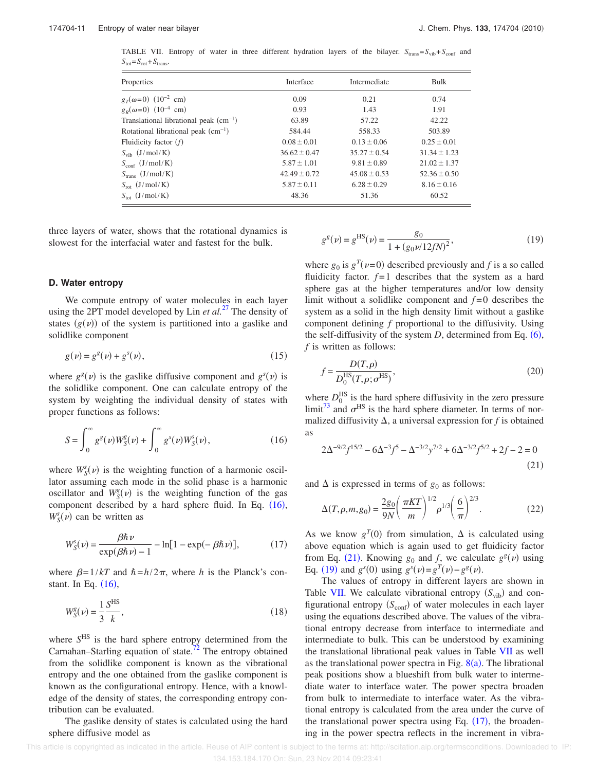TABLE VII. Entropy of water in three different hydration layers of the bilayer.  $S_{trans} = S_{vib} + S_{conf}$  and  $S_{\text{tot}} = S_{\text{rot}} + S_{\text{trans}}.$ 

| Properties                                 | Interface        | Intermediate     | Bulk             |
|--------------------------------------------|------------------|------------------|------------------|
| $g_T(\omega=0)$ (10 <sup>-2</sup> cm)      | 0.09             | 0.21             | 0.74             |
| $g_R(\omega=0)$ (10 <sup>-4</sup> cm)      | 0.93             | 1.43             | 1.91             |
| Translational librational peak $(cm^{-1})$ | 63.89            | 57.22            | 42.22            |
| Rotational librational peak $(cm^{-1})$    | 584.44           | 558.33           | 503.89           |
| Fluidicity factor $(f)$                    | $0.08 \pm 0.01$  | $0.13 \pm 0.06$  | $0.25 \pm 0.01$  |
| $S_{\text{vib}}$ (J/mol/K)                 | $36.62 \pm 0.47$ | $35.27 \pm 0.54$ | $31.34 \pm 1.23$ |
| $S_{\text{conf}}(J/mol/K)$                 | $5.87 \pm 1.01$  | $9.81 \pm 0.89$  | $21.02 \pm 1.37$ |
| $S_{trans}$ (J/mol/K)                      | $42.49 \pm 0.72$ | $45.08 \pm 0.53$ | $52.36 \pm 0.50$ |
| $S_{\rm rot}$ (J/mol/K)                    | $5.87 \pm 0.11$  | $6.28 \pm 0.29$  | $8.16 \pm 0.16$  |
| $S_{\text{tot}}$ (J/mol/K)                 | 48.36            | 51.36            | 60.52            |

three layers of water, shows that the rotational dynamics is slowest for the interfacial water and fastest for the bulk.

### **D. Water entropy**

We compute entropy of water molecules in each layer using the 2PT model developed by Lin *et al.*<sup>27</sup> The density of states  $(g(v))$  of the system is partitioned into a gaslike and solidlike component

$$
g(\nu) = g^{g}(\nu) + g^{s}(\nu),
$$
\n(15)

where  $g^{\text{g}}(\nu)$  is the gaslike diffusive component and  $g^{\text{s}}(\nu)$  is the solidlike component. One can calculate entropy of the system by weighting the individual density of states with proper functions as follows:

$$
S = \int_0^\infty g^g(\nu) W_S^g(\nu) + \int_0^\infty g^s(\nu) W_S^s(\nu), \tag{16}
$$

where  $W_S^s(\nu)$  is the weighting function of a harmonic oscillator assuming each mode in the solid phase is a harmonic oscillator and  $W_S^g(v)$  is the weighting function of the gas component described by a hard sphere fluid. In Eq.  $(16)$ ,  $W<sub>S</sub><sup>s</sup>(\nu)$  can be written as

$$
W_S^s(\nu) = \frac{\beta \hbar \nu}{\exp(\beta \hbar \nu) - 1} - \ln[1 - \exp(-\beta \hbar \nu)],\tag{17}
$$

where  $\beta = 1/kT$  and  $\hbar = h/2\pi$ , where *h* is the Planck's constant. In Eq.  $(16)$ ,

$$
W_S^g(\nu) = \frac{1}{3} \frac{S^{HS}}{k},
$$
\n(18)

where  $S<sup>HS</sup>$  is the hard sphere entropy determined from the Carnahan–Starling equation of state.<sup>72</sup> The entropy obtained from the solidlike component is known as the vibrational entropy and the one obtained from the gaslike component is known as the configurational entropy. Hence, with a knowledge of the density of states, the corresponding entropy contribution can be evaluated.

The gaslike density of states is calculated using the hard sphere diffusive model as

$$
g^{g}(\nu) = g^{\text{HS}}(\nu) = \frac{g_0}{1 + (g_0 \nu / 12 fN)^2},\tag{19}
$$

where  $g_0$  is  $g^T(\nu=0)$  described previously and *f* is a so called fluidicity factor.  $f=1$  describes that the system as a hard sphere gas at the higher temperatures and/or low density limit without a solidlike component and *f* = 0 describes the system as a solid in the high density limit without a gaslike component defining *f* proportional to the diffusivity. Using the self-diffusivity of the system  $D$ , determined from Eq.  $(6)$ , *f* is written as follows:

$$
f = \frac{D(T, \rho)}{D_0^{\text{HS}}(T, \rho; \sigma^{\text{HS}})},
$$
\n(20)

where  $D_0^{\text{HS}}$  is the hard sphere diffusivity in the zero pressure limit<sup>73</sup> and  $\sigma$ <sup>HS</sup> is the hard sphere diameter. In terms of normalized diffusivity  $\Delta$ , a universal expression for *f* is obtained as

$$
2\Delta^{-9/2}f^{15/2} - 6\Delta^{-3}f^5 - \Delta^{-3/2}y^{7/2} + 6\Delta^{-3/2}f^{5/2} + 2f - 2 = 0
$$
\n(21)

and  $\Delta$  is expressed in terms of  $g_0$  as follows:

$$
\Delta(T,\rho,m,g_0) = \frac{2g_0}{9N} \left(\frac{\pi KT}{m}\right)^{1/2} \rho^{1/3} \left(\frac{6}{\pi}\right)^{2/3}.
$$
 (22)

As we know  $g^T(0)$  from simulation,  $\Delta$  is calculated using above equation which is again used to get fluidicity factor from Eq. (21). Knowing  $g_0$  and *f*, we calculate  $g^g(v)$  using Eq. (19) and  $g^s(0)$  using  $g^s(\nu) = g^T(\nu) - g^g(\nu)$ .

The values of entropy in different layers are shown in Table VII. We calculate vibrational entropy  $(S_{vib})$  and configurational entropy  $(S_{\text{conf}})$  of water molecules in each layer using the equations described above. The values of the vibrational entropy decrease from interface to intermediate and intermediate to bulk. This can be understood by examining the translational librational peak values in Table VII as well as the translational power spectra in Fig.  $8(a)$ . The librational peak positions show a blueshift from bulk water to intermediate water to interface water. The power spectra broaden from bulk to intermediate to interface water. As the vibrational entropy is calculated from the area under the curve of the translational power spectra using Eq.  $(17)$ , the broadening in the power spectra reflects in the increment in vibra-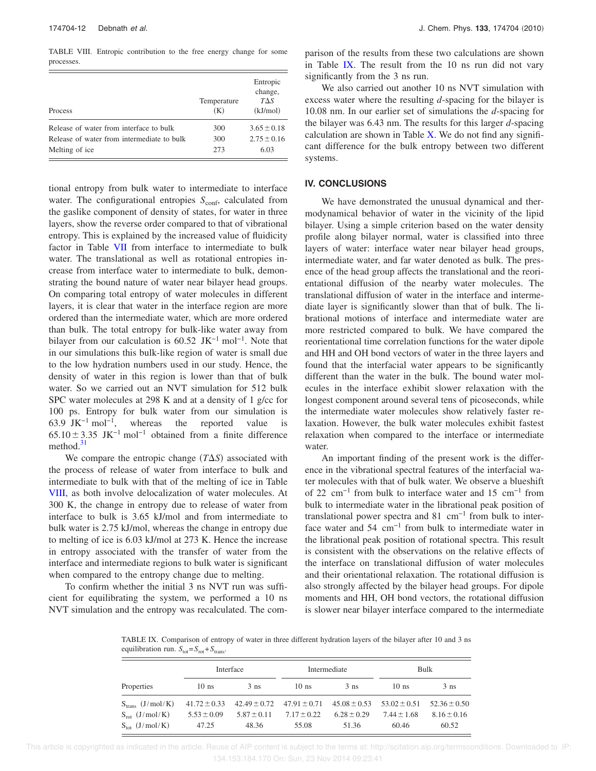TABLE VIII. Entropic contribution to the free energy change for some processes.

| Process                                    | Temperature<br>(K) | Entropic<br>change,<br>$T\Delta S$<br>(kJ/mol) |
|--------------------------------------------|--------------------|------------------------------------------------|
| Release of water from interface to bulk    | 300                | $3.65 \pm 0.18$                                |
| Release of water from intermediate to bulk | 300                | $2.75 \pm 0.16$                                |
| Melting of ice                             | 273                | 6.03                                           |

tional entropy from bulk water to intermediate to interface water. The configurational entropies  $S_{\text{conf}}$ , calculated from the gaslike component of density of states, for water in three layers, show the reverse order compared to that of vibrational entropy. This is explained by the increased value of fluidicity factor in Table VII from interface to intermediate to bulk water. The translational as well as rotational entropies increase from interface water to intermediate to bulk, demonstrating the bound nature of water near bilayer head groups. On comparing total entropy of water molecules in different layers, it is clear that water in the interface region are more ordered than the intermediate water, which are more ordered than bulk. The total entropy for bulk-like water away from bilayer from our calculation is 60.52 JK<sup>-1</sup> mol<sup>-1</sup>. Note that in our simulations this bulk-like region of water is small due to the low hydration numbers used in our study. Hence, the density of water in this region is lower than that of bulk water. So we carried out an NVT simulation for 512 bulk SPC water molecules at 298 K and at a density of 1 g/cc for 100 ps. Entropy for bulk water from our simulation is 63.9 JK<sup> $-1$ </sup> mol<sup> $-1$ </sup>, whereas the reported value is  $65.10 \pm 3.35 \text{ JK}^{-1} \text{ mol}^{-1}$  obtained from a finite difference method.<sup>31</sup>

We compare the entropic change  $(T\Delta S)$  associated with the process of release of water from interface to bulk and intermediate to bulk with that of the melting of ice in Table VIII, as both involve delocalization of water molecules. At 300 K, the change in entropy due to release of water from interface to bulk is 3.65 kJ/mol and from intermediate to bulk water is 2.75 kJ/mol, whereas the change in entropy due to melting of ice is 6.03 kJ/mol at 273 K. Hence the increase in entropy associated with the transfer of water from the interface and intermediate regions to bulk water is significant when compared to the entropy change due to melting.

To confirm whether the initial 3 ns NVT run was sufficient for equilibrating the system, we performed a 10 ns NVT simulation and the entropy was recalculated. The comparison of the results from these two calculations are shown in Table IX. The result from the 10 ns run did not vary significantly from the 3 ns run.

We also carried out another 10 ns NVT simulation with excess water where the resulting *d*-spacing for the bilayer is 10.08 nm. In our earlier set of simulations the *d*-spacing for the bilayer was 6.43 nm. The results for this larger *d*-spacing calculation are shown in Table  $X$ . We do not find any significant difference for the bulk entropy between two different systems.

## **IV. CONCLUSIONS**

We have demonstrated the unusual dynamical and thermodynamical behavior of water in the vicinity of the lipid bilayer. Using a simple criterion based on the water density profile along bilayer normal, water is classified into three layers of water: interface water near bilayer head groups, intermediate water, and far water denoted as bulk. The presence of the head group affects the translational and the reorientational diffusion of the nearby water molecules. The translational diffusion of water in the interface and intermediate layer is significantly slower than that of bulk. The librational motions of interface and intermediate water are more restricted compared to bulk. We have compared the reorientational time correlation functions for the water dipole and HH and OH bond vectors of water in the three layers and found that the interfacial water appears to be significantly different than the water in the bulk. The bound water molecules in the interface exhibit slower relaxation with the longest component around several tens of picoseconds, while the intermediate water molecules show relatively faster relaxation. However, the bulk water molecules exhibit fastest relaxation when compared to the interface or intermediate water.

An important finding of the present work is the difference in the vibrational spectral features of the interfacial water molecules with that of bulk water. We observe a blueshift of 22 cm−1 from bulk to interface water and 15 cm−1 from bulk to intermediate water in the librational peak position of translational power spectra and 81 cm−1 from bulk to interface water and 54 cm−1 from bulk to intermediate water in the librational peak position of rotational spectra. This result is consistent with the observations on the relative effects of the interface on translational diffusion of water molecules and their orientational relaxation. The rotational diffusion is also strongly affected by the bilayer head groups. For dipole moments and HH, OH bond vectors, the rotational diffusion is slower near bilayer interface compared to the intermediate

TABLE IX. Comparison of entropy of water in three different hydration layers of the bilayer after 10 and 3 ns equilibration run.  $S_{\text{tot}} = S_{\text{rot}} + S_{\text{trans}}$ .

|                         |                  | Interface       |                                                    | Intermediate    |                  | Bulk             |
|-------------------------|------------------|-----------------|----------------------------------------------------|-----------------|------------------|------------------|
| Properties              | $10$ ns          | 3 <sub>ns</sub> | $10$ ns                                            | 3 <sub>ns</sub> | $10$ ns          | $3$ ns           |
| $S_{trans}$ (J/mol/K)   | $41.72 \pm 0.33$ |                 | $42.49 \pm 0.72$ $47.91 \pm 0.71$ $45.08 \pm 0.53$ |                 | $53.02 \pm 0.51$ | $52.36 \pm 0.50$ |
| $S_{\rm rot}$ (J/mol/K) | $5.53 \pm 0.09$  | $5.87 + 0.11$   | $7.17 + 0.22$                                      | $6.28 \pm 0.29$ | $7.44 + 1.68$    | $8.16 \pm 0.16$  |
| $S_{tot}$ (J/mol/K)     | 47.25            | 48.36           | 55.08                                              | 51.36           | 60.46            | 60.52            |

 This article is copyrighted as indicated in the article. Reuse of AIP content is subject to the terms at: http://scitation.aip.org/termsconditions. Downloaded to IP: 134.153.184.170 On: Sun, 23 Nov 2014 09:23:41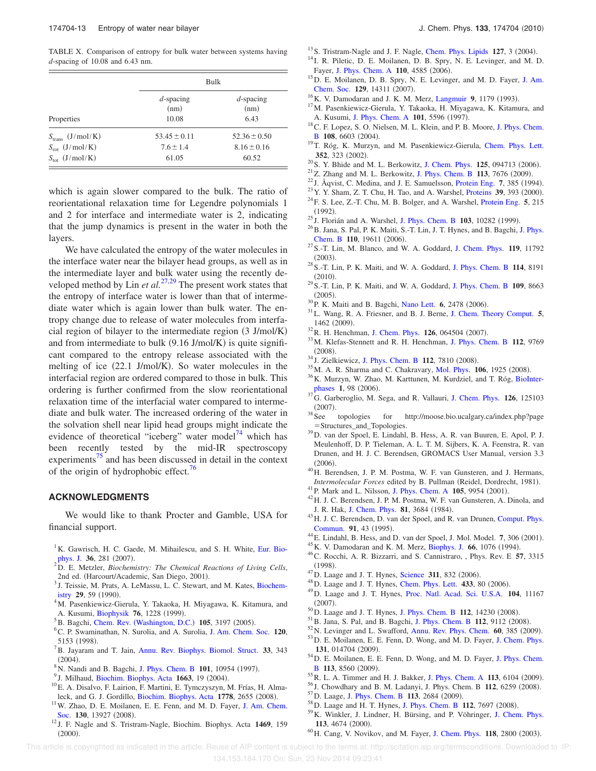TABLE X. Comparison of entropy for bulk water between systems having *d*-spacing of 10.08 and 6.43 nm.

|                            | <b>Bulk</b>                   |                              |  |  |
|----------------------------|-------------------------------|------------------------------|--|--|
| Properties                 | $d$ -spacing<br>(nm)<br>10.08 | $d$ -spacing<br>(nm)<br>6.43 |  |  |
| $S_{trans}$ (J/mol/K)      | $53.45 \pm 0.11$              | $52.36 \pm 0.50$             |  |  |
| $S_{\text{rot}}$ (J/mol/K) | $7.6 \pm 1.4$                 | $8.16 \pm 0.16$              |  |  |
| $S_{\text{tot}}$ (J/mol/K) | 61.05                         | 60.52                        |  |  |

which is again slower compared to the bulk. The ratio of reorientational relaxation time for Legendre polynomials 1 and 2 for interface and intermediate water is 2, indicating that the jump dynamics is present in the water in both the layers.

We have calculated the entropy of the water molecules in the interface water near the bilayer head groups, as well as in the intermediate layer and bulk water using the recently developed method by Lin *et al.*<sup>27,29</sup> The present work states that the entropy of interface water is lower than that of intermediate water which is again lower than bulk water. The entropy change due to release of water molecules from interfacial region of bilayer to the intermediate region  $(3 \text{ J/mol/K})$ and from intermediate to bulk  $(9.16 \text{ J/mol/K})$  is quite significant compared to the entropy release associated with the melting of ice  $(22.1 \text{ J/mol/K})$ . So water molecules in the interfacial region are ordered compared to those in bulk. This ordering is further confirmed from the slow reorientational relaxation time of the interfacial water compared to intermediate and bulk water. The increased ordering of the water in the solvation shell near lipid head groups might indicate the evidence of theoretical "iceberg" water model $^{74}$  which has been recently tested by the mid-IR spectroscopy experiments<sup>75</sup> and has been discussed in detail in the context of the origin of hydrophobic effect.<sup>76</sup>

## **ACKNOWLEDGMENTS**

We would like to thank Procter and Gamble, USA for financial support.

- <sup>1</sup>K. Gawrisch, H. C. Gaede, M. Mihailescu, and S. H. White, Eur. Biophys. J. 36, 281 (2007).
- <sup>2</sup>D. E. Metzler, *Biochemistry: The Chemical Reactions of Living Cells*, 2nd ed. (Harcourt/Academic, San Diego, 2001).
- <sup>3</sup> J. Teissie, M. Prats, A. LeMassu, L. C. Stewart, and M. Kates, Biochemistry 29, 59 (1990).
- <sup>4</sup>M. Pasenkiewicz-Gierula, Y. Takaoka, H. Miyagawa, K. Kitamura, and A. Kusumi, Biophysik **76**, 1228 (1999).
- <sup>5</sup> B. Bagchi, Chem. Rev. (Washington, D.C.) 105, 3197 (2005).
- <sup>6</sup>C. P. Swaminathan, N. Surolia, and A. Surolia, J. Am. Chem. Soc. **120**, 5153 (1998).
- <sup>7</sup>B. Jayaram and T. Jain, Annu. Rev. Biophys. Biomol. Struct. **33**, 343  $(2004).$
- <sup>8</sup> N. Nandi and B. Bagchi, J. Phys. Chem. B 101, 10954 (1997).
- <sup>9</sup> J. Milhaud, Biochim. Biophys. Acta 1663, 19 (2004).
- $^{10}$ E. A. Disalvo, F. Lairion, F. Martini, E. Tymczyszyn, M. Frías, H. Almaleck, and G. J. Gordillo, Biochim. Biophys. Acta 1778, 2655 (2008).
- <sup>11</sup>W. Zhao, D. E. Moilanen, E. E. Fenn, and M. D. Fayer, J. Am. Chem. Soc. 130, 13927 (2008).
- <sup>12</sup> J. F. Nagle and S. Tristram-Nagle, Biochim. Biophys. Acta **1469**, 159  $(2000).$

 $13$  S. Tristram-Nagle and J. F. Nagle, Chem. Phys. Lipids  $127$ , 3  $(2004)$ .

- <sup>14</sup> I. R. Piletic, D. E. Moilanen, D. B. Spry, N. E. Levinger, and M. D. Fayer, J. Phys. Chem. A 110, 4585 (2006).
- <sup>15</sup>D. E. Moilanen, D. B. Spry, N. E. Levinger, and M. D. Fayer, J. Am. Chem. Soc. 129, 14311 (2007).
- <sup>16</sup> K. V. Damodaran and J. K. M. Merz, Langmuir 9, 1179 (1993).
- <sup>17</sup>M. Pasenkiewicz-Gierula, Y. Takaoka, H. Miyagawa, K. Kitamura, and A. Kusumi, J. Phys. Chem. A 101, 5596 (1997).
- <sup>18</sup>C. F. Lopez, S. O. Nielsen, M. L. Klein, and P. B. Moore, J. Phys. Chem. **B** 108, 6603 (2004).
- <sup>19</sup>T. Róg, K. Murzyn, and M. Pasenkiewicz-Gierula, Chem. Phys. Lett. **352**, 323 (2002).
- <sup>20</sup> S. Y. Bhide and M. L. Berkowitz, J. Chem. Phys. **125**, 094713 (2006).
- $2^{21}$ Z. Zhang and M. L. Berkowitz, J. Phys. Chem. B 113, 7676  $(2009)$ .
- $^{22}$  J. Åqvist, C. Medina, and J. E. Samuelsson, Protein Eng. 7, 385 (1994).
- <sup>23</sup> Y. Y. Sham, Z. T. Chu, H. Tao, and A. Warshel, Proteins **39**, 393 (2000).
- <sup>24</sup>F. S. Lee, Z.-T. Chu, M. B. Bolger, and A. Warshel, Protein Eng. **5**, 215 -1992.
- $^{25}$  J. Florián and A. Warshel, J. Phys. Chem. B  $103$ , 10282 (1999).
- $^{26}$ B. Jana, S. Pal, P. K. Maiti, S.-T. Lin, J. T. Hynes, and B. Bagchi, J. Phys. **Chem. B 110**, 19611 (2006).
- <sup>27</sup>S.-T. Lin, M. Blanco, and W. A. Goddard, J. Chem. Phys. **119**, 11792  $(2003).$
- <sup>28</sup>S.-T. Lin, P. K. Maiti, and W. A. Goddard, J. Phys. Chem. B **114**, 8191  $(2010).$
- <sup>29</sup>S.-T. Lin, P. K. Maiti, and W. A. Goddard, J. Phys. Chem. B **109**, 8663  $(2005).$
- <sup>30</sup> P. K. Maiti and B. Bagchi, Nano Lett. **6**, 2478 (2006).
- <sup>31</sup>L. Wang, R. A. Friesner, and B. J. Berne, J. Chem. Theory Comput. **5**, 1462 (2009).
- <sup>32</sup> R. H. Henchman, J. Chem. Phys. **126**, 064504 (2007).
- <sup>33</sup>M. Klefas-Stennett and R. H. Henchman, J. Phys. Chem. B **112**, 9769 (2008).<br><sup>34</sup> J. Zielkiewicz, J. Phys. Chem. B **112**, 7810 (2008).
- 
- <sup>35</sup> M. A. R. Sharma and C. Chakravary, Mol. Phys. **106**, 1925 (2008).
- <sup>36</sup>K. Murzyn, W. Zhao, M. Karttunen, M. Kurdziel, and T. Róg, BioInterphases **1**, 98 (2006).<br><sup>37</sup>G. Garberoglio, M. Sega, and R. Vallauri, J. Chem. Phys. **126**, 125103
- $(2007).$
- <sup>38</sup>See topologies for http://moose.bio.ucalgary.ca/index.php?page Structures\_and\_Topologies.
- <sup>39</sup>D. van der Spoel, E. Lindahl, B. Hess, A. R. van Buuren, E. Apol, P. J. Meulenhoff, D. P. Tieleman, A. L. T. M. Sijbers, K. A. Feenstra, R. van Drunen, and H. J. C. Berendsen, GROMACS User Manual, version 3.3  $(2006).$
- <sup>40</sup>H. Berendsen, J. P. M. Postma, W. F. van Gunsteren, and J. Hermans, Intermolecular Forces edited by B. Pullman (Reidel, Dordrecht, 1981).
- <sup>41</sup> P. Mark and L. Nilsson, J. Phys. Chem. A **105**, 9954 (2001).
- <sup>42</sup>H. J. C. Berendsen, J. P. M. Postma, W. F. van Gunsteren, A. Dinola, and J. R. Hak, J. Chem. Phys. **81**, 3684 (1984).
- <sup>43</sup>H. J. C. Berendsen, D. van der Spoel, and R. van Drunen, Comput. Phys. **Commun. 91**, 43 (1995).
- $^{44}$  E. Lindahl, B. Hess, and D. van der Spoel, J. Mol. Model.  $7, 306$  (2001).
- <sup>45</sup> K. V. Damodaran and K. M. Merz, Biophys. J. 66, 1076 (1994).
- <sup>46</sup>C. Rocchi, A. R. Bizzarri, and S. Cannistraro, , Phys. Rev. E **57**, 3315 -1998.
- $^{47}$ D. Laage and J. T. Hynes, Science 311, 832 (2006).
- <sup>48</sup> D. Laage and J. T. Hynes, Chem. Phys. Lett. **433**, 80 (2006).
- <sup>49</sup>D. Laage and J. T. Hynes, Proc. Natl. Acad. Sci. U.S.A. **104**, 11167  $(2007).$
- <sup>50</sup> D. Laage and J. T. Hynes, J. Phys. Chem. B 112, 14230 (2008).
- <sup>51</sup> B. Jana, S. Pal, and B. Bagchi, J. Phys. Chem. B 112, 9112 (2008).
- $52$  N. Levinger and L. Swafford, Annu. Rev. Phys. Chem.  $60$ , 385  $(2009)$ .
- <sup>53</sup>D. E. Moilanen, E. E. Fenn, D. Wong, and M. D. Fayer, J. Chem. Phys. 131, 014704 (2009).
- <sup>54</sup>D. E. Moilanen, E. E. Fenn, D. Wong, and M. D. Fayer, J. Phys. Chem. **B** 113, 8560 (2009).
- <sup>55</sup> R. L. A. Timmer and H. J. Bakker, J. Phys. Chem. A 113, 6104 (2009).
- <sup>56</sup> J. Chowdhary and B. M. Ladanyi, J. Phys. Chem. B **112**, 6259 (2008).
- <sup>57</sup> D. Laage, J. Phys. Chem. B 113, 2684 (2009).
- <sup>58</sup> D. Laage and H. T. Hynes, J. Phys. Chem. B 112, 7697 (2008).
- <sup>59</sup>K. Winkler, J. Lindner, H. Bürsing, and P. Vöhringer, J. Chem. Phys. 113, 4674 (2000).
- <sup>60</sup> H. Cang, V. Novikov, and M. Fayer, J. Chem. Phys. **118**, 2800 (2003).